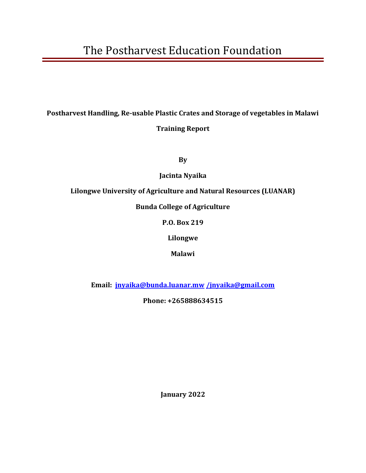# **Postharvest Handling, Re-usable Plastic Crates and Storage of vegetables in Malawi Training Report**

**By** 

**Jacinta Nyaika**

**Lilongwe University of Agriculture and Natural Resources (LUANAR)**

**Bunda College of Agriculture**

**P.O. Box 219**

**Lilongwe**

**Malawi**

**Email: [jnyaika@bunda.luanar.mw](mailto:jnyaika@bunda.luanar.mw) [/jnyaika@gmail.com](mailto:/jnyaika@gmail.com)**

**Phone: +265888634515**

**January 2022**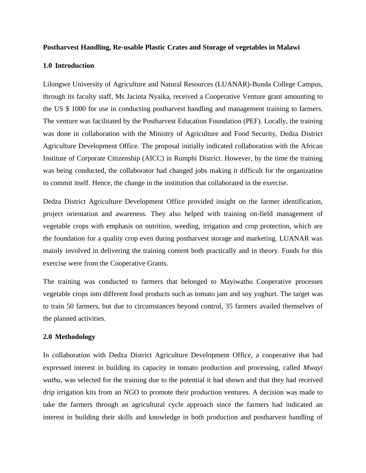#### **Postharvest Handling, Re-usable Plastic Crates and Storage of vegetables in Malawi**

#### **1.0 Introduction**

Lilongwe University of Agriculture and Natural Resources (LUANAR)-Bunda College Campus, through its faculty staff, Ms Jacinta Nyaika, received a Cooperative Venture grant amounting to the US \$ 1000 for use in conducting postharvest handling and management training to farmers. The venture was facilitated by the Postharvest Education Foundation (PEF). Locally, the training was done in collaboration with the Ministry of Agriculture and Food Security, Dedza District Agriculture Development Office. The proposal initially indicated collaboration with the African Institute of Corporate Citizenship (AICC) in Rumphi District. However, by the time the training was being conducted, the collaborator had changed jobs making it difficult for the organization to commit itself. Hence, the change in the institution that collaborated in the exercise.

Dedza District Agriculture Development Office provided insight on the farmer identification, project orientation and awareness. They also helped with training on-field management of vegetable crops with emphasis on nutrition, weeding, irrigation and crop protection, which are the foundation for a quality crop even during postharvest storage and marketing. LUANAR was mainly involved in delivering the training content both practically and in theory. Funds for this exercise were from the Cooperative Grants.

The training was conducted to farmers that belonged to Mayiwathu Cooperative processes vegetable crops into different food products such as tomato jam and soy yoghurt. The target was to train 50 farmers, but due to circumstances beyond control, 35 farmers availed themselves of the planned activities.

### **2.0 Methodology**

In collaboration with Dedza District Agriculture Development Office, a cooperative that had expressed interest in building its capacity in tomato production and processing, called *Mwayi wathu*, was selected for the training due to the potential it had shown and that they had received drip irrigation kits from an NGO to promote their production ventures. A decision was made to take the farmers through an agricultural cycle approach since the farmers had indicated an interest in building their skills and knowledge in both production and postharvest handling of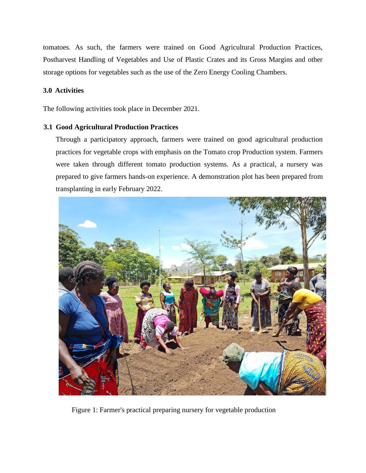tomatoes. As such, the farmers were trained on Good Agricultural Production Practices, Postharvest Handling of Vegetables and Use of Plastic Crates and its Gross Margins and other storage options for vegetables such as the use of the Zero Energy Cooling Chambers.

# **3.0 Activities**

The following activities took place in December 2021.

# **3.1 Good Agricultural Production Practices**

Through a participatory approach, farmers were trained on good agricultural production practices for vegetable crops with emphasis on the Tomato crop Production system. Farmers were taken through different tomato production systems. As a practical, a nursery was prepared to give farmers hands-on experience. A demonstration plot has been prepared from transplanting in early February 2022.



Figure 1: Farmer's practical preparing nursery for vegetable production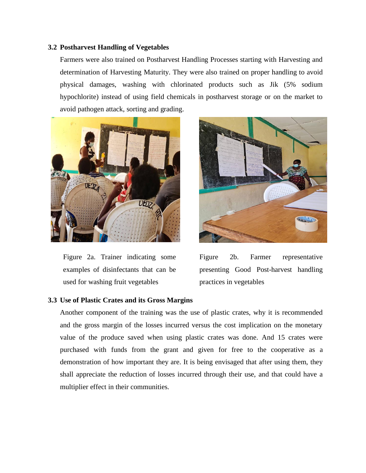## **3.2 Postharvest Handling of Vegetables**

Farmers were also trained on Postharvest Handling Processes starting with Harvesting and determination of Harvesting Maturity. They were also trained on proper handling to avoid physical damages, washing with chlorinated products such as Jik (5% sodium hypochlorite) instead of using field chemicals in postharvest storage or on the market to avoid pathogen attack, sorting and grading.



Figure 2a. Trainer indicating some examples of disinfectants that can be used for washing fruit vegetables



Figure 2b. Farmer representative presenting Good Post-harvest handling practices in vegetables

# **3.3 Use of Plastic Crates and its Gross Margins**

Another component of the training was the use of plastic crates, why it is recommended and the gross margin of the losses incurred versus the cost implication on the monetary value of the produce saved when using plastic crates was done. And 15 crates were purchased with funds from the grant and given for free to the cooperative as a demonstration of how important they are. It is being envisaged that after using them, they shall appreciate the reduction of losses incurred through their use, and that could have a multiplier effect in their communities.